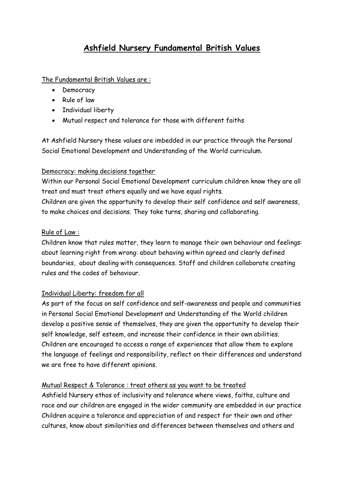# **Ashfield Nursery Fundamental British Values**

The Fundamental British Values are :

- Democracy
- Rule of law
- Individual liberty
- Mutual respect and tolerance for those with different faiths

At Ashfield Nursery these values are imbedded in our practice through the Personal Social Emotional Development and Understanding of the World curriculum.

## Democracy: making decisions together

Within our Personal Social Emotional Development curriculum children know they are all treat and must treat others equally and we have equal rights.

Children are given the opportunity to develop their self confidence and self awareness, to make choices and decisions. They take turns, sharing and collaborating.

### Rule of Law :

Children know that rules matter, they learn to manage their own behaviour and feelings: about learning right from wrong: about behaving within agreed and clearly defined boundaries, about dealing with consequences. Staff and children collaborate creating rules and the codes of behaviour.

## Individual Liberty: freedom for all

As part of the focus on self confidence and self-awareness and people and communities in Personal Social Emotional Development and Understanding of the World children develop a positive sense of themselves, they are given the opportunity to develop their self knowledge, self esteem, and increase their confidence in their own abilities. Children are encouraged to access a range of experiences that allow them to explore the language of feelings and responsibility, reflect on their differences and understand we are free to have different opinions.

#### Mutual Respect & Tolerance : treat others as you want to be treated

Ashfield Nursery ethos of inclusivity and tolerance where views, faiths, culture and race and our children are engaged in the wider community are embedded in our practice Children acquire a tolerance and appreciation of and respect for their own and other cultures, know about similarities and differences between themselves and others and